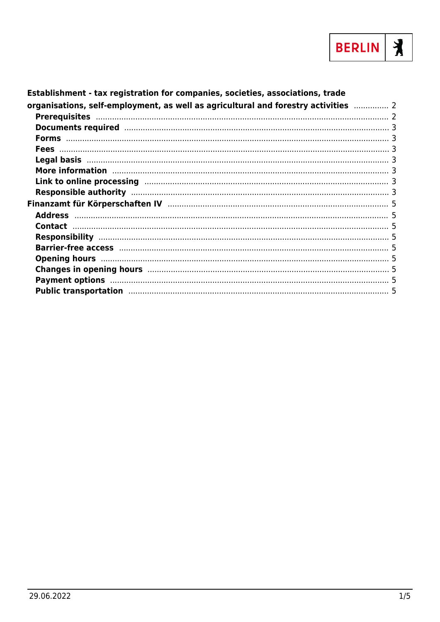

| Establishment - tax registration for companies, societies, associations, trade                                                                                                                                                 |  |
|--------------------------------------------------------------------------------------------------------------------------------------------------------------------------------------------------------------------------------|--|
| organisations, self-employment, as well as agricultural and forestry activities <b></b> 2                                                                                                                                      |  |
|                                                                                                                                                                                                                                |  |
| Documents required manufactured and 3                                                                                                                                                                                          |  |
|                                                                                                                                                                                                                                |  |
|                                                                                                                                                                                                                                |  |
|                                                                                                                                                                                                                                |  |
|                                                                                                                                                                                                                                |  |
| Link to online processing manufactured and the control of the control of the control of the control of the control of the control of the control of the control of the control of the control of the control of the control of |  |
|                                                                                                                                                                                                                                |  |
|                                                                                                                                                                                                                                |  |
|                                                                                                                                                                                                                                |  |
|                                                                                                                                                                                                                                |  |
|                                                                                                                                                                                                                                |  |
|                                                                                                                                                                                                                                |  |
|                                                                                                                                                                                                                                |  |
|                                                                                                                                                                                                                                |  |
|                                                                                                                                                                                                                                |  |
| Public transportation manufacture and the state of the state of the state of the state of the state of the state of the state of the state of the state of the state of the state of the state of the state of the state of th |  |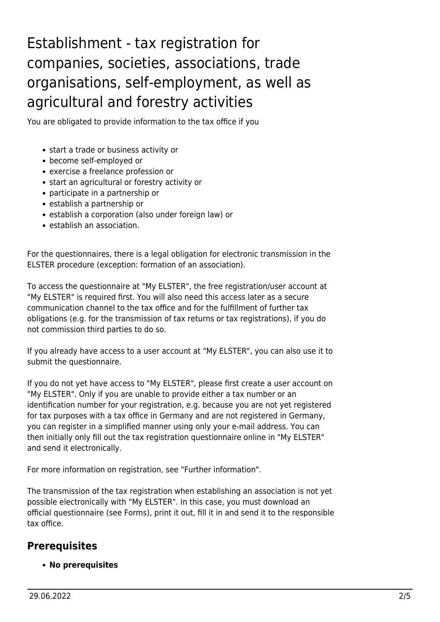# <span id="page-1-0"></span>Establishment - tax registration for companies, societies, associations, trade organisations, self-employment, as well as agricultural and forestry activities

You are obligated to provide information to the tax office if you

- start a trade or business activity or
- become self-employed or
- exercise a freelance profession or
- start an agricultural or forestry activity or
- participate in a partnership or
- establish a partnership or
- establish a corporation (also under foreign law) or
- establish an association.

For the questionnaires, there is a legal obligation for electronic transmission in the ELSTER procedure (exception: formation of an association).

To access the questionnaire at "My ELSTER", the free registration/user account at "My ELSTER" is required first. You will also need this access later as a secure communication channel to the tax office and for the fulfillment of further tax obligations (e.g. for the transmission of tax returns or tax registrations), if you do not commission third parties to do so.

If you already have access to a user account at "My ELSTER", you can also use it to submit the questionnaire.

If you do not yet have access to "My ELSTER", please first create a user account on "My ELSTER". Only if you are unable to provide either a tax number or an identification number for your registration, e.g. because you are not yet registered for tax purposes with a tax office in Germany and are not registered in Germany, you can register in a simplified manner using only your e-mail address. You can then initially only fill out the tax registration questionnaire online in "My ELSTER" and send it electronically.

For more information on registration, see "Further information".

The transmission of the tax registration when establishing an association is not yet possible electronically with "My ELSTER". In this case, you must download an official questionnaire (see Forms), print it out, fill it in and send it to the responsible tax office.

### <span id="page-1-1"></span>**Prerequisites**

**No prerequisites**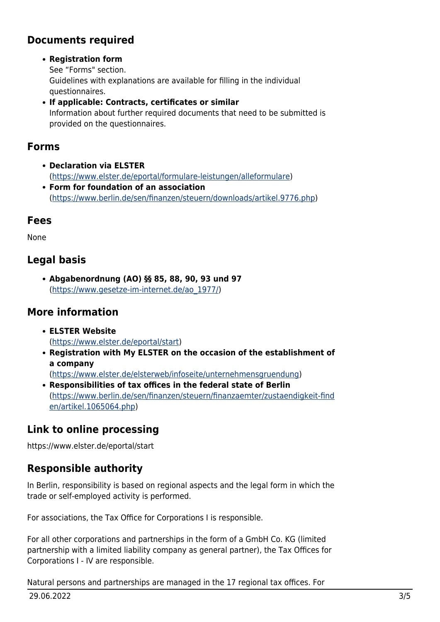### <span id="page-2-0"></span>**Documents required**

#### **Registration form**

See "Forms" section. Guidelines with explanations are available for filling in the individual questionnaires.

**If applicable: Contracts, certificates or similar** Information about further required documents that need to be submitted is provided on the questionnaires.

#### <span id="page-2-1"></span>**Forms**

- **Declaration via ELSTER** (<https://www.elster.de/eportal/formulare-leistungen/alleformulare>)
- **Form for foundation of an association** (<https://www.berlin.de/sen/finanzen/steuern/downloads/artikel.9776.php>)

#### <span id="page-2-2"></span>**Fees**

None

#### <span id="page-2-3"></span>**Legal basis**

**Abgabenordnung (AO) §§ 85, 88, 90, 93 und 97** ([https://www.gesetze-im-internet.de/ao\\_1977/\)](https://www.gesetze-im-internet.de/ao_1977/)

#### <span id="page-2-4"></span>**More information**

- **ELSTER Website** (<https://www.elster.de/eportal/start>)
- **Registration with My ELSTER on the occasion of the establishment of a company**

([https://www.elster.de/elsterweb/infoseite/unternehmensgruendung\)](https://www.elster.de/elsterweb/infoseite/unternehmensgruendung)

**Responsibilities of tax offices in the federal state of Berlin** ([https://www.berlin.de/sen/finanzen/steuern/finanzaemter/zustaendigkeit-find](https://www.berlin.de/sen/finanzen/steuern/finanzaemter/zustaendigkeit-finden/artikel.1065064.php) [en/artikel.1065064.php](https://www.berlin.de/sen/finanzen/steuern/finanzaemter/zustaendigkeit-finden/artikel.1065064.php))

#### <span id="page-2-5"></span>**Link to online processing**

https://www.elster.de/eportal/start

#### <span id="page-2-6"></span>**Responsible authority**

In Berlin, responsibility is based on regional aspects and the legal form in which the trade or self-employed activity is performed.

For associations, the Tax Office for Corporations I is responsible.

For all other corporations and partnerships in the form of a GmbH Co. KG (limited partnership with a limited liability company as general partner), the Tax Offices for Corporations I - IV are responsible.

Natural persons and partnerships are managed in the 17 regional tax offices. For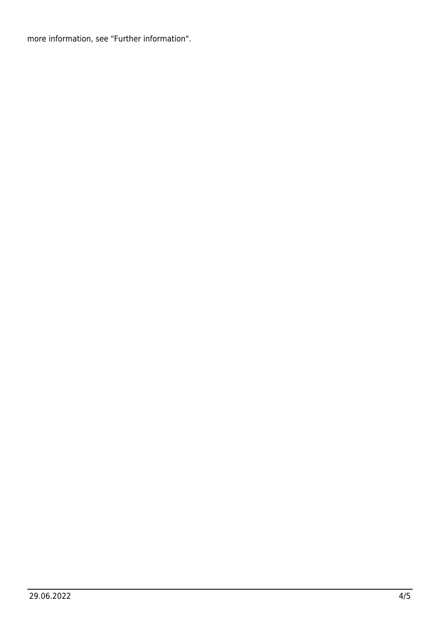more information, see "Further information".